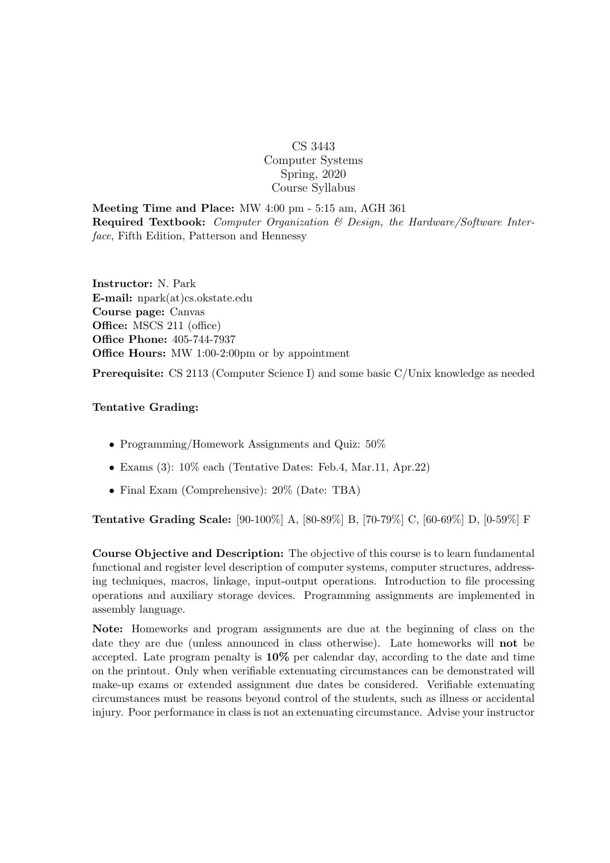## CS 3443 Computer Systems Spring, 2020 Course Syllabus

Meeting Time and Place: MW 4:00 pm - 5:15 am, AGH 361 Required Textbook: Computer Organization & Design, the Hardware/Software Interface, Fifth Edition, Patterson and Hennessy

Instructor: N. Park E-mail: npark(at)cs.okstate.edu Course page: Canvas Office: MSCS 211 (office) Office Phone: 405-744-7937 Office Hours: MW 1:00-2:00pm or by appointment

Prerequisite: CS 2113 (Computer Science I) and some basic C/Unix knowledge as needed

## Tentative Grading:

- Programming/Homework Assignments and Quiz:  $50\%$
- Exams (3): 10% each (Tentative Dates: Feb.4, Mar.11, Apr.22)
- Final Exam (Comprehensive): 20% (Date: TBA)

Tentative Grading Scale: [90-100%] A, [80-89%] B, [70-79%] C, [60-69%] D, [0-59%] F

Course Objective and Description: The objective of this course is to learn fundamental functional and register level description of computer systems, computer structures, addressing techniques, macros, linkage, input-output operations. Introduction to file processing operations and auxiliary storage devices. Programming assignments are implemented in assembly language.

Note: Homeworks and program assignments are due at the beginning of class on the date they are due (unless announced in class otherwise). Late homeworks will not be accepted. Late program penalty is 10% per calendar day, according to the date and time on the printout. Only when verifiable extenuating circumstances can be demonstrated will make-up exams or extended assignment due dates be considered. Verifiable extenuating circumstances must be reasons beyond control of the students, such as illness or accidental injury. Poor performance in class is not an extenuating circumstance. Advise your instructor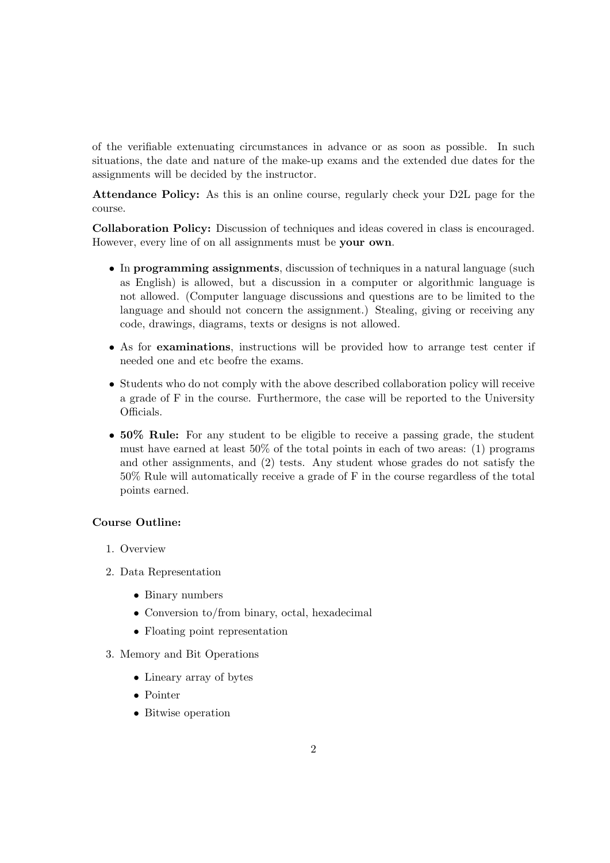of the verifiable extenuating circumstances in advance or as soon as possible. In such situations, the date and nature of the make-up exams and the extended due dates for the assignments will be decided by the instructor.

Attendance Policy: As this is an online course, regularly check your D2L page for the course.

Collaboration Policy: Discussion of techniques and ideas covered in class is encouraged. However, every line of on all assignments must be your own.

- In programming assignments, discussion of techniques in a natural language (such as English) is allowed, but a discussion in a computer or algorithmic language is not allowed. (Computer language discussions and questions are to be limited to the language and should not concern the assignment.) Stealing, giving or receiving any code, drawings, diagrams, texts or designs is not allowed.
- As for examinations, instructions will be provided how to arrange test center if needed one and etc beofre the exams.
- Students who do not comply with the above described collaboration policy will receive a grade of F in the course. Furthermore, the case will be reported to the University Officials.
- 50% Rule: For any student to be eligible to receive a passing grade, the student must have earned at least 50% of the total points in each of two areas: (1) programs and other assignments, and (2) tests. Any student whose grades do not satisfy the 50% Rule will automatically receive a grade of F in the course regardless of the total points earned.

## Course Outline:

- 1. Overview
- 2. Data Representation
	- Binary numbers
	- Conversion to/from binary, octal, hexadecimal
	- Floating point representation
- 3. Memory and Bit Operations
	- Lineary array of bytes
	- Pointer
	- Bitwise operation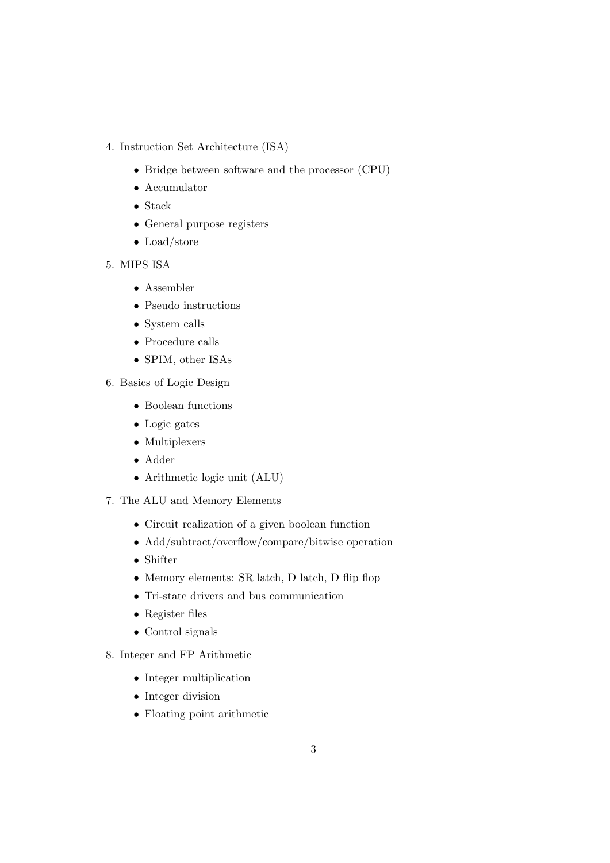- 4. Instruction Set Architecture (ISA)
	- Bridge between software and the processor (CPU)
	- Accumulator
	- Stack
	- General purpose registers
	- Load/store
- 5. MIPS ISA
	- Assembler
	- Pseudo instructions
	- System calls
	- Procedure calls
	- SPIM, other ISAs
- 6. Basics of Logic Design
	- Boolean functions
	- Logic gates
	- Multiplexers
	- Adder
	- Arithmetic logic unit (ALU)
- 7. The ALU and Memory Elements
	- Circuit realization of a given boolean function
	- Add/subtract/overflow/compare/bitwise operation
	- Shifter
	- Memory elements: SR latch, D latch, D flip flop
	- Tri-state drivers and bus communication
	- Register files
	- Control signals
- 8. Integer and FP Arithmetic
	- Integer multiplication
	- Integer division
	- Floating point arithmetic